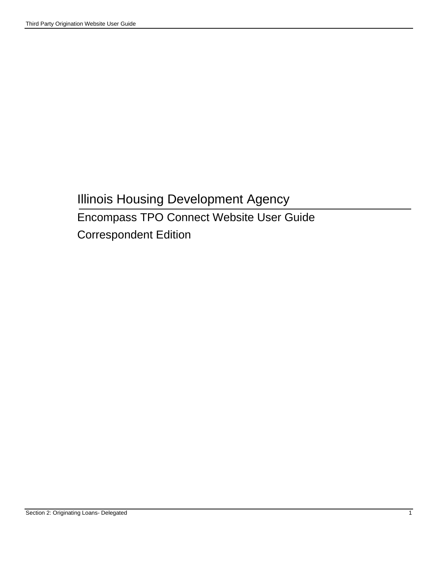# Illinois Housing Development Agency Encompass TPO Connect Website User Guide Correspondent Edition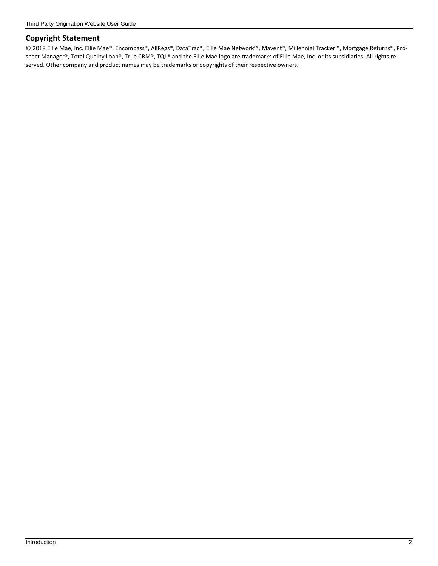#### **Copyright Statement**

© 2018 Ellie Mae, Inc. Ellie Mae®, Encompass®, AllRegs®, DataTrac®, Ellie Mae Network™, Mavent®, Millennial Tracker™, Mortgage Returns®, Prospect Manager®, Total Quality Loan®, True CRM®, TQL® and the Ellie Mae logo are trademarks of Ellie Mae, Inc. or its subsidiaries. All rights reserved. Other company and product names may be trademarks or copyrights of their respective owners.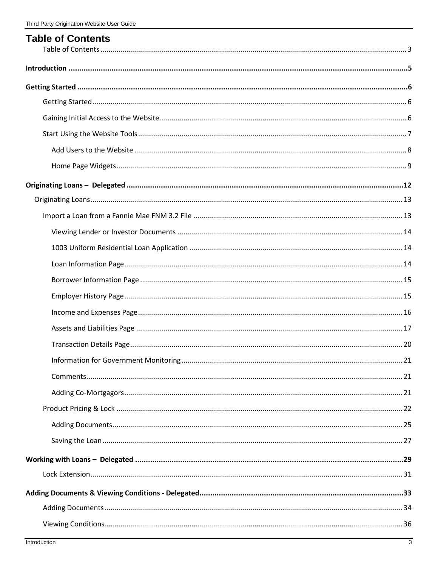| <b>Table of Contents</b> |  |
|--------------------------|--|
|                          |  |
|                          |  |
|                          |  |
|                          |  |
|                          |  |
|                          |  |
|                          |  |
|                          |  |
|                          |  |
|                          |  |
|                          |  |
|                          |  |
|                          |  |
|                          |  |
|                          |  |
|                          |  |
|                          |  |
|                          |  |
|                          |  |
|                          |  |
|                          |  |
|                          |  |
|                          |  |
|                          |  |
|                          |  |
|                          |  |
|                          |  |
|                          |  |
|                          |  |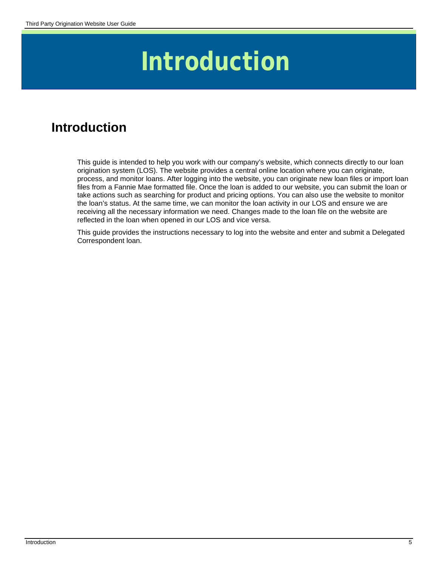# **Introduction**

# **Introduction**

This guide is intended to help you work with our company's website, which connects directly to our loan origination system (LOS). The website provides a central online location where you can originate, process, and monitor loans. After logging into the website, you can originate new loan files or import loan files from a Fannie Mae formatted file. Once the loan is added to our website, you can submit the loan or take actions such as searching for product and pricing options. You can also use the website to monitor the loan's status. At the same time, we can monitor the loan activity in our LOS and ensure we are receiving all the necessary information we need. Changes made to the loan file on the website are reflected in the loan when opened in our LOS and vice versa.

This guide provides the instructions necessary to log into the website and enter and submit a Delegated Correspondent loan.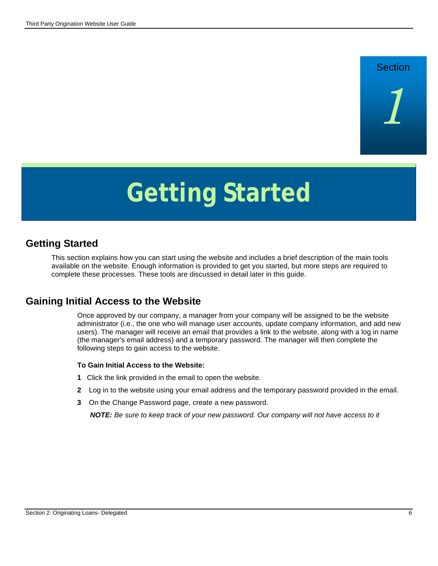# **Section**

*1*

# **Getting Started**

### **Getting Started**

This section explains how you can start using the website and includes a brief description of the main tools available on the website. Enough information is provided to get you started, but more steps are required to complete these processes. These tools are discussed in detail later in this guide.

#### **Gaining Initial Access to the Website**

Once approved by our company, a manager from your company will be assigned to be the website administrator (i.e., the one who will manage user accounts, update company information, and add new users). The manager will receive an email that provides a link to the website, along with a log in name (the manager's email address) and a temporary password. The manager will then complete the following steps to gain access to the website.

#### **To Gain Initial Access to the Website:**

- **1** Click the link provided in the email to open the website.
- **2** Log in to the website using your email address and the temporary password provided in the email.
- **3** On the Change Password page, create a new password.

*NOTE: Be sure to keep track of your new password. Our company will not have access to it*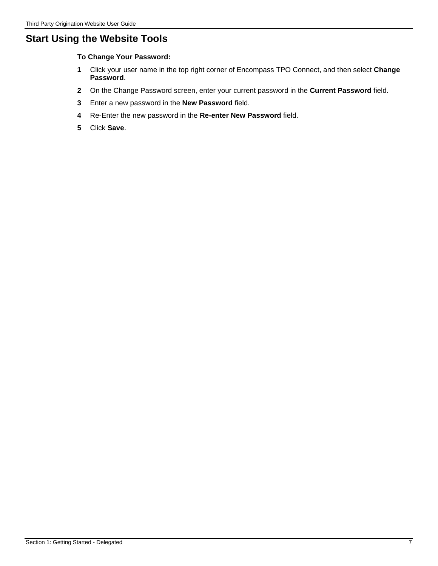# **Start Using the Website Tools**

**To Change Your Password:**

- **1** Click your user name in the top right corner of Encompass TPO Connect, and then select **Change Password**.
- **2** On the Change Password screen, enter your current password in the **Current Password** field.
- **3** Enter a new password in the **New Password** field.
- **4** Re-Enter the new password in the **Re-enter New Password** field.
- **5** Click **Save**.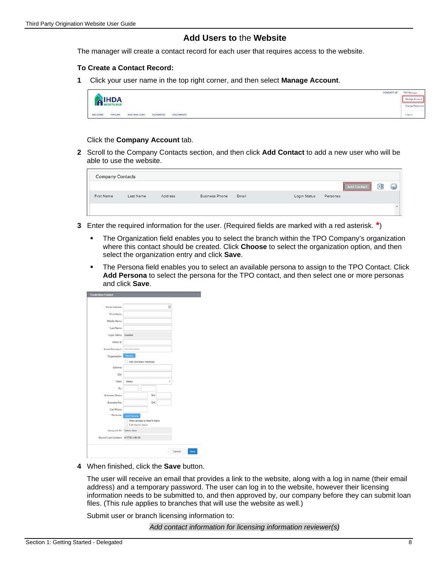#### **Add Users to** the **Website**

The manager will create a contact record for each user that requires access to the website.

#### **To Create a Contact Record:**

**1** Click your user name in the top right corner, and then select **Manage Account**.

|                     |                 |              |                                       |                                        | <b>CONTACT US</b> | TPO Manager -   |
|---------------------|-----------------|--------------|---------------------------------------|----------------------------------------|-------------------|-----------------|
|                     | <b>IHDA</b>     |              |                                       |                                        |                   | Manage Account  |
|                     | <b>MORTGAGE</b> |              |                                       |                                        |                   | Change Password |
| WELCOME<br>ソフトトレンジャ | PIPELINE        | ADD NEW LOAN | <b>RS GARDENS</b><br><b>SCENARIOS</b> | <b>GROOMGERING</b><br><b>DOCUMENTS</b> |                   | Logout          |

Click the **Company Account** tab.

**2** Scroll to the Company Contacts section, and then click **Add Contact** to add a new user who will be able to use the website.

| <b>Company Contacts</b> |           |         |                |       |              |          |             |   |             |
|-------------------------|-----------|---------|----------------|-------|--------------|----------|-------------|---|-------------|
|                         |           |         |                |       |              |          | Add Contact | 嗰 | $\bigoplus$ |
| First Name              | Last Name | Address | Business Phone | Email | Login Status | Personas |             |   |             |
|                         |           |         |                |       |              |          |             |   |             |

- **3** Enter the required information for the user. (Required fields are marked with a red asterisk. **\***)
	- The Organization field enables you to select the branch within the TPO Company's organization where this contact should be created. Click **Choose** to select the organization option, and then select the organization entry and click **Save**.
	- The Persona field enables you to select an available persona to assign to the TPO Contact. Click **Add Persona** to select the persona for the TPO contact, and then select one or more personas and click **Save**.

| "Email Address                      |                             | $\omega$ |  |
|-------------------------------------|-----------------------------|----------|--|
| "First Name                         |                             |          |  |
| Middle Name                         |                             |          |  |
| *Lest Name                          |                             |          |  |
|                                     |                             |          |  |
| Login Status Enabled                |                             |          |  |
| NMLS ID                             |                             |          |  |
| Social Security #                   | 111-11-1111                 |          |  |
| * Organization                      | Choose                      |          |  |
|                                     | Use Company Address         |          |  |
| Address                             |                             |          |  |
| City                                |                             |          |  |
| * State                             | Select                      |          |  |
|                                     |                             |          |  |
| Zip                                 | $\overline{\phantom{a}}$    |          |  |
| <b>Business Phone</b>               |                             | Ext.     |  |
| <b>Business Fax</b>                 |                             | Ext.     |  |
| Cell Phone                          |                             |          |  |
| *Personas                           | Add Persons                 |          |  |
|                                     | View access to team's loans |          |  |
|                                     | Edit team's loans           |          |  |
| Assigned AE Admin User              |                             |          |  |
| Record Last Updated 4/17/18 2:46:55 |                             |          |  |
|                                     |                             |          |  |

**4** When finished, click the **Save** button.

The user will receive an email that provides a link to the website, along with a log in name (their email address) and a temporary password. The user can log in to the website, however their licensing information needs to be submitted to, and then approved by, our company before they can submit loan files. (This rule applies to branches that will use the website as well.)

Submit user or branch licensing information to:

*Add contact information for licensing information reviewer(s)*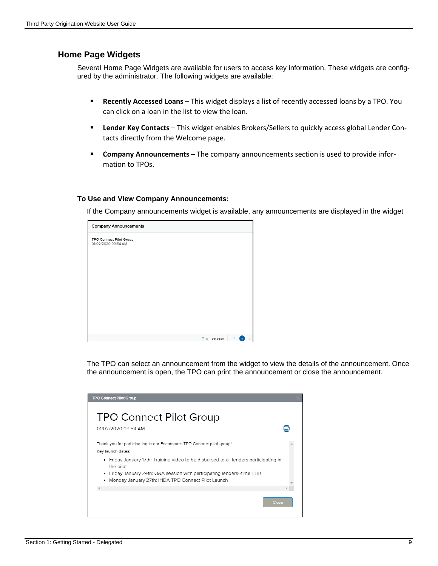#### **Home Page Widgets**

Several Home Page Widgets are available for users to access key information. These widgets are configured by the administrator. The following widgets are available:

- **Recently Accessed Loans** This widget displays a list of recently accessed loans by a TPO. You can click on a loan in the list to view the loan.
- **Lender Key Contacts** This widget enables Brokers/Sellers to quickly access global Lender Contacts directly from the Welcome page.
- **Company Announcements**  The company announcements section is used to provide information to TPOs.

#### **To Use and View Company Announcements:**

If the Company announcements widget is available, any announcements are displayed in the widget

| <b>Company Announcements</b>                          |                              |
|-------------------------------------------------------|------------------------------|
| <b>TPO Connect Pilot Group</b><br>01/02/2020 09:54 AM |                              |
|                                                       |                              |
|                                                       |                              |
|                                                       |                              |
|                                                       |                              |
|                                                       |                              |
|                                                       | $\mathbf{v}_{5}$<br>per page |

The TPO can select an announcement from the widget to view the details of the announcement. Once the announcement is open, the TPO can print the announcement or close the announcement.

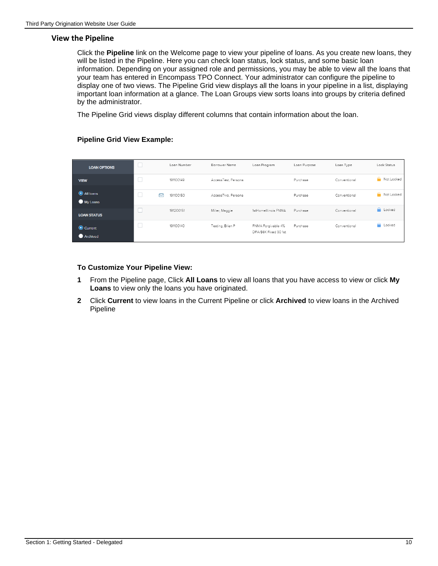#### **View the Pipeline**

Click the **Pipeline** link on the Welcome page to view your pipeline of loans. As you create new loans, they will be listed in the Pipeline. Here you can check loan status, lock status, and some basic loan information. Depending on your assigned role and permissions, you may be able to view all the loans that your team has entered in Encompass TPO Connect. Your administrator can configure the pipeline to display one of two views. The Pipeline Grid view displays all the loans in your pipeline in a list, displaying important loan information at a glance. The Loan Groups view sorts loans into groups by criteria defined by the administrator.

The Pipeline Grid views display different columns that contain information about the loan.

#### **Pipeline Grid View Example:**

| <b>LOAN OPTIONS</b>   | $\mathbb{R}^n$ | Loan Number | Borrower Name       | Loan Program                                | Loan Purpose | Loan Type    | Lock Status     |
|-----------------------|----------------|-------------|---------------------|---------------------------------------------|--------------|--------------|-----------------|
| <b>VIEW</b>           | $\Box$         | 191100149   | AccessTest, Persona |                                             | Purchase     | Conventional | Not Locked      |
| All loans<br>My Loans | 罓              | 191100150   | AccessTwo, Persona  |                                             | Purchase     | Conventional | Not Locked      |
| <b>LOAN STATUS</b>    |                | 191200151   | Miller, Maggie      | 1stHomelllinois FNMA                        | Purchase     | Conventional | <b>A</b> Locked |
| Current<br>Archived   |                | 191100140   | Testing, Brian P    | FNMA Forgivable 4%<br>DPA/\$6K Fixed 30 1st | Purchase     | Conventional | <b>A</b> Locked |

#### **To Customize Your Pipeline View:**

- **1** From the Pipeline page, Click **All Loans** to view all loans that you have access to view or click **My Loans** to view only the loans you have originated.
- **2** Click **Current** to view loans in the Current Pipeline or click **Archived** to view loans in the Archived Pipeline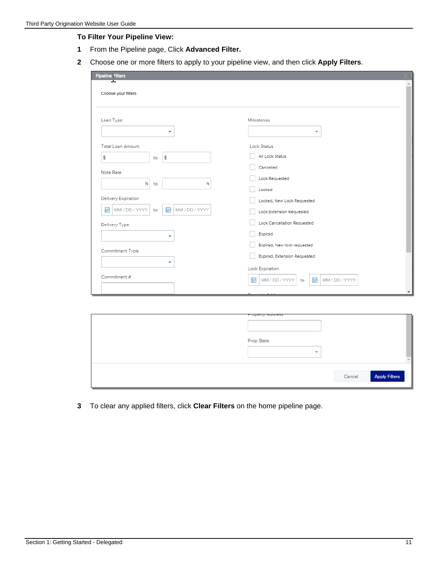#### **To Filter Your Pipeline View:**

- **1** From the Pipeline page, Click **Advanced Filter.**
- **2** Choose one or more filters to apply to your pipeline view, and then click **Apply Filters**.

| <b>Pipeline Filters</b>   |                     |                                                    |
|---------------------------|---------------------|----------------------------------------------------|
| ᆓ<br>Choose your filters  |                     |                                                    |
| Loan Type                 |                     | Milestones                                         |
|                           | ۰                   | ۰                                                  |
| Total Loan Amount         |                     | Lock Status                                        |
| \$<br>to                  | \$                  | All Lock Status                                    |
| Note Rate                 |                     | Cancelled                                          |
|                           |                     | Lock Requested                                     |
| $%$ to                    | $\%$                | Locked                                             |
| Delivery Expiration       |                     | Locked, New Lock Requested                         |
| 鼬<br>MM / DD / YYYY<br>to | 蕳<br>MM / DD / YYYY | Lock Extension Requested                           |
| Delivery Type             |                     | Lock Cancellation Requested                        |
|                           | ۰                   | Expired                                            |
|                           |                     | Expired, New lock requested                        |
| Commitment Type           |                     | Expired, Extension Requested                       |
|                           | ۰                   | Lock Expiration                                    |
| Commitment #              |                     |                                                    |
|                           |                     | 鼬<br>諎<br>MM / DD / YYYY<br>MM / DD / YYYY<br>to   |
|                           |                     | $\overline{\phantom{a}}$<br>Down and in<br>$A - I$ |

| Linheiry Waaress<br>Prop State.<br>۰ |                             |
|--------------------------------------|-----------------------------|
|                                      | Cancel <b>Apply Filters</b> |

**3** To clear any applied filters, click **Clear Filters** on the home pipeline page.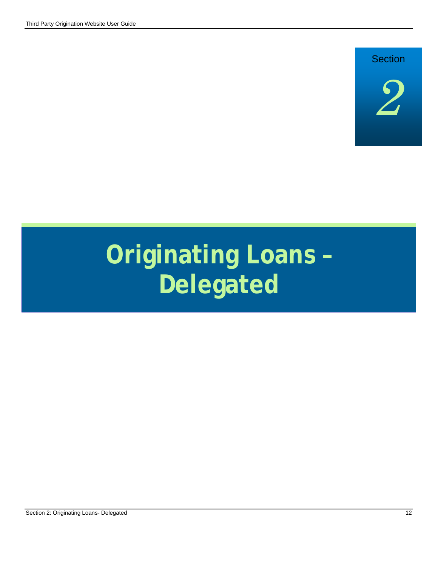# **Section**



# **Originating Loans – Delegated**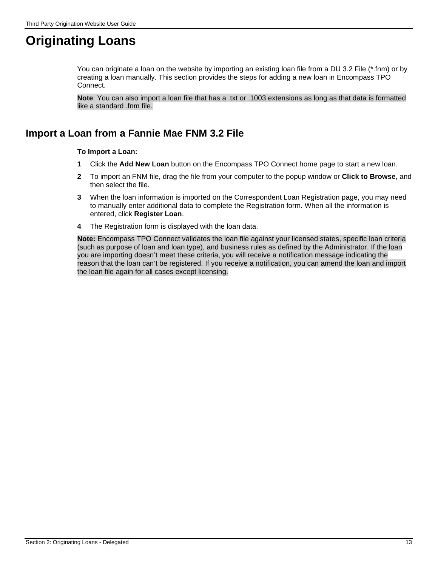# **Originating Loans**

You can originate a loan on the website by importing an existing loan file from a DU 3.2 File (\*.fnm) or by creating a loan manually. This section provides the steps for adding a new loan in Encompass TPO Connect.

**Note**: You can also import a loan file that has a .txt or .1003 extensions as long as that data is formatted like a standard .fnm file.

# **Import a Loan from a Fannie Mae FNM 3.2 File**

#### **To Import a Loan:**

- **1** Click the **Add New Loan** button on the Encompass TPO Connect home page to start a new loan.
- **2** To import an FNM file, drag the file from your computer to the popup window or **Click to Browse**, and then select the file.
- **3** When the loan information is imported on the Correspondent Loan Registration page, you may need to manually enter additional data to complete the Registration form. When all the information is entered, click **Register Loan**.
- **4** The Registration form is displayed with the loan data.

**Note:** Encompass TPO Connect validates the loan file against your licensed states, specific loan criteria (such as purpose of loan and loan type), and business rules as defined by the Administrator. If the loan you are importing doesn't meet these criteria, you will receive a notification message indicating the reason that the loan can't be registered. If you receive a notification, you can amend the loan and import the loan file again for all cases except licensing.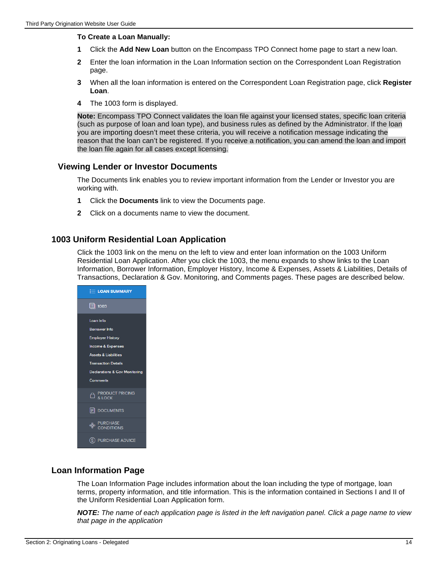#### **To Create a Loan Manually:**

- **1** Click the **Add New Loan** button on the Encompass TPO Connect home page to start a new loan.
- **2** Enter the loan information in the Loan Information section on the Correspondent Loan Registration page.
- **3** When all the loan information is entered on the Correspondent Loan Registration page, click **Register Loan**.
- **4** The 1003 form is displayed.

**Note:** Encompass TPO Connect validates the loan file against your licensed states, specific loan criteria (such as purpose of loan and loan type), and business rules as defined by the Administrator. If the loan you are importing doesn't meet these criteria, you will receive a notification message indicating the reason that the loan can't be registered. If you receive a notification, you can amend the loan and import the loan file again for all cases except licensing.

#### **Viewing Lender or Investor Documents**

The Documents link enables you to review important information from the Lender or Investor you are working with.

- **1** Click the **Documents** link to view the Documents page.
- **2** Click on a documents name to view the document.

#### **1003 Uniform Residential Loan Application**

Click the 1003 link on the menu on the left to view and enter loan information on the 1003 Uniform Residential Loan Application. After you click the 1003, the menu expands to show links to the Loan Information, Borrower Information, Employer History, Income & Expenses, Assets & Liabilities, Details of Transactions, Declaration & Gov. Monitoring, and Comments pages. These pages are described below.



#### **Loan Information Page**

The Loan Information Page includes information about the loan including the type of mortgage, loan terms, property information, and title information. This is the information contained in Sections I and II of the Uniform Residential Loan Application form.

*NOTE: The name of each application page is listed in the left navigation panel. Click a page name to view that page in the application*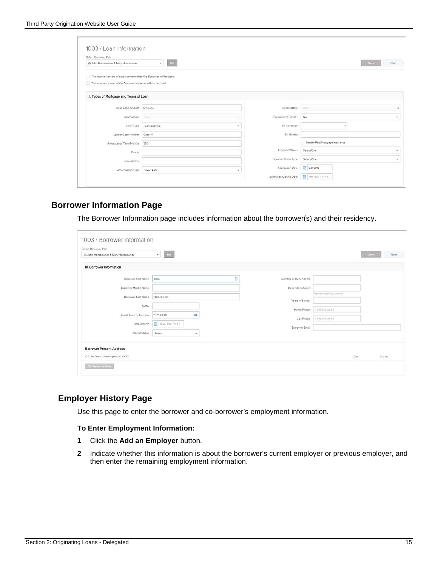| (1) John Homeowner & Mary Homeowner                                   | <b>Eat</b><br>$\sim$ |   |                    |                                | Seve<br>Next |
|-----------------------------------------------------------------------|----------------------|---|--------------------|--------------------------------|--------------|
| The income / assets of a person other than the Borrower will be used. |                      |   |                    |                                |              |
| The income / assets of the Borrower's spouse will not be used.        |                      |   |                    |                                |              |
|                                                                       |                      |   |                    |                                |              |
| I. Types of Mortgage and Terms of Loan                                |                      |   |                    |                                |              |
|                                                                       |                      |   |                    |                                |              |
| Base Loan Amount \$156350                                             |                      |   | Interest Rate      | 4.975                          |              |
| Lien Position                                                         | View.                |   | Prepayment Penalty | No.                            |              |
| Loan Type                                                             | Conventional         | ٠ | MI Coverage        |                                |              |
| Lender Case Number                                                    | Case #1              |   | MI Months          |                                |              |
| Amortization Term Months                                              | 360                  |   |                    | Lender Paid Mortgage Insurance |              |
| Due In                                                                |                      |   | Impound Waiver     | Select One                     |              |
| Interest Only                                                         |                      |   | Documentation Type | Select One                     |              |
| Amortization Type                                                     | Fixed Rate           |   | Application Date   | 9/8/2016                       |              |
|                                                                       |                      |   |                    |                                |              |

#### **Borrower Information Page**

The Borrower Information page includes information about the borrower(s) and their residency.

| (1) John Homeowner & Mary Homeowner  | Fide<br>$\mathbf{v}$ . |                      |                            | <b>Save</b><br>Next. |
|--------------------------------------|------------------------|----------------------|----------------------------|----------------------|
| III. Borrower Information            |                        |                      |                            |                      |
| Borrower First Name                  | O<br>John              | Number of Dependents |                            |                      |
| Borrower Middle Name                 |                        | Dependent Age(t)     |                            |                      |
| Borrower Last Name                   | Homeowner              |                      | Separate ages by continual |                      |
| Suffix                               |                        | Years in School      |                            |                      |
| Social Security Number               | ø<br>5000              | Home Phone           | (222) 222-2222             |                      |
| Date of Birth                        | MM/DD/YYYY             | Cell Phone           | 15551555-5526              |                      |
| Maritel Status                       | Select<br>٠            | Borrower Email       |                            |                      |
|                                      |                        |                      |                            |                      |
| <b>Borrower Present Address</b>      |                        |                      |                            |                      |
| 175 13th Street, Washington DC 20013 |                        |                      | Edit.                      | Delete               |

#### **Employer History Page**

Use this page to enter the borrower and co-borrower's employment information.

#### **To Enter Employment Information:**

- **1** Click the **Add an Employer** button.
- **2** Indicate whether this information is about the borrower's current employer or previous employer, and then enter the remaining employment information.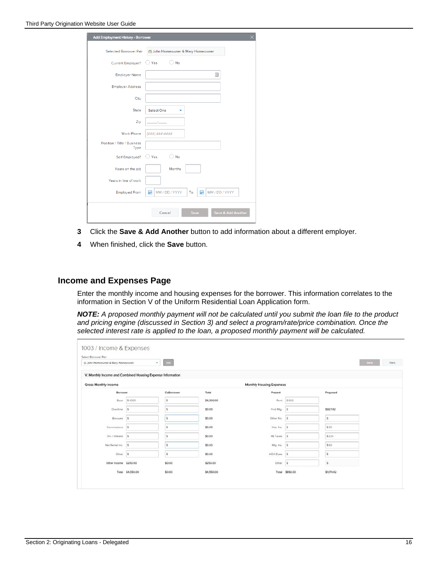| Add Employment History - Borrower   |                                                  |
|-------------------------------------|--------------------------------------------------|
| Selected Borrower Pair              | (1) John Homeowner & Mary Homeowner              |
| Current Employer?                   | No<br>Yes                                        |
| <b>Employer Name</b>                | 国                                                |
| <b>Employer Address</b>             |                                                  |
| City                                |                                                  |
| State                               | Select One<br>٠                                  |
| Zip                                 |                                                  |
| <b>Work Phone</b>                   | $( # ##) # # # - # # # #$                        |
| Position / Title / Business<br>Type |                                                  |
| Self-Employed?                      | Yes<br>No                                        |
| Years on the job                    | Months                                           |
| Years in line of work               |                                                  |
| <b>Employed From</b>                | MM / DD / YYYY<br>扁<br>MM / DD / YYYY<br>爵<br>To |
|                                     | Save & Add Another<br>Save<br>Cancel             |

- **3** Click the **Save & Add Another** button to add information about a different employer.
- **4** When finished, click the **Save** button.

#### **Income and Expenses Page**

Enter the monthly income and housing expenses for the borrower. This information correlates to the information in Section V of the Uniform Residential Loan Application form.

*NOTE: A proposed monthly payment will not be calculated until you submit the loan file to the product and pricing engine (discussed in Section 3) and select a program/rate/price combination. Once the selected interest rate is applied to the loan, a proposed monthly payment will be calculated.* 

| Select Borrower Pair<br>(1) John Homeowner & Mary Homeowner |                  | $\bullet$ . Let |            |                          |                         |            | Sme<br>Next |
|-------------------------------------------------------------|------------------|-----------------|------------|--------------------------|-------------------------|------------|-------------|
|                                                             |                  |                 |            |                          |                         |            |             |
| V. Monthly Income and Combined Housing Expense Information  |                  |                 |            |                          |                         |            |             |
| Gross Monthly income                                        |                  |                 |            | Monthly Housing Expenses |                         |            |             |
| Borrower                                                    |                  | CoBorrower      | Total      | Present                  |                         | Proposed   |             |
| Base                                                        | \$4300           | l\$             | \$4,300.00 | Rent                     | \$892                   |            |             |
| Overtime:                                                   | <b>S</b>         | i\$             | \$0.00     | First Mtg.               | $\vert$ s               | \$827.42   |             |
| Bonuses                                                     | s.               | š               | \$0.00     | Other Fin.               | $\overline{\mathbf{x}}$ | s          |             |
| Commissions                                                 | <b>IS</b>        | ś               | \$0.00     | Haz Inc.                 |                         | \$30       |             |
| Div./Interest \$                                            |                  | <sup>\$</sup>   | \$0.00     | RE Taxes                 | $\vert$ s               | \$226      |             |
| Net Rental Inc.                                             | $\frac{1}{2}$    | š               | \$0.00     | Mtg. Ins.                | $\vert$ s               | \$92       |             |
| Other                                                       | is.              | is.             | \$0.00     | <b>HOA Dues</b>          | $\overline{\mathbf{5}}$ | s          |             |
| Other Income \$250.00                                       |                  | \$0.00          | \$250.00   | Other                    | $\overline{\mathbf{s}}$ | 's         |             |
|                                                             | Total \$4,550.00 | \$0.00          | \$4,550.00 |                          | Total \$892.00          | \$1,174.42 |             |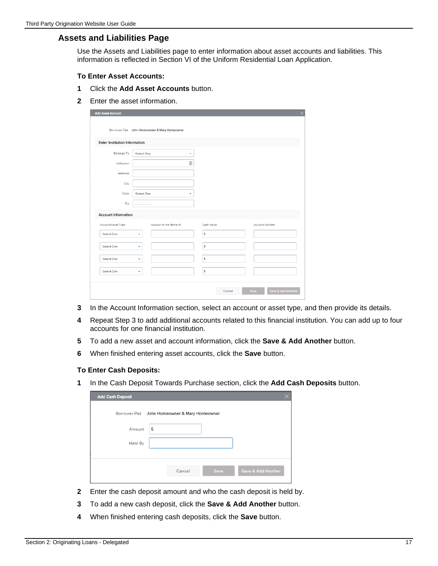#### **Assets and Liabilities Page**

Use the Assets and Liabilities page to enter information about asset accounts and liabilities. This information is reflected in Section VI of the Uniform Residential Loan Application.

#### **To Enter Asset Accounts:**

- **1** Click the **Add Asset Accounts** button.
- **2** Enter the asset information.

| <b>Add Asset Account</b>      |                                               |            | $\times$                   |
|-------------------------------|-----------------------------------------------|------------|----------------------------|
|                               | Borrower Pair John Homeowner & Mary Homeowner |            |                            |
| Enter Institution Information |                                               |            |                            |
| <b>Belongs To</b>             | Select One<br>٠                               |            |                            |
| Institution                   | $\boxed{\triangle}$                           |            |                            |
| Address                       |                                               |            |                            |
| City                          |                                               |            |                            |
| State                         | Select One                                    |            |                            |
| Zip                           |                                               |            |                            |
| <b>Account Information</b>    |                                               |            |                            |
| Account/Asset Type            | Account in the Name of                        | Cash Value | <b>Account Number</b>      |
| Select One                    | ٠                                             | \$         |                            |
| Select One                    | ۰                                             | \$         |                            |
| Select One                    | ٠                                             | \$         |                            |
| Select One                    | ٠                                             | \$         |                            |
|                               |                                               | Cancel     | Save & Add Another<br>Save |

- **3** In the Account Information section, select an account or asset type, and then provide its details.
- **4** Repeat Step 3 to add additional accounts related to this financial institution. You can add up to four accounts for one financial institution.
- **5** To add a new asset and account information, click the **Save & Add Another** button.
- **6** When finished entering asset accounts, click the **Save** button.

#### **To Enter Cash Deposits:**

**1** In the Cash Deposit Towards Purchase section, click the **Add Cash Deposits** button.

| <b>Add Cash Deposit</b> |                                               |      |                    |
|-------------------------|-----------------------------------------------|------|--------------------|
|                         | Borrower Pair John Homeowner & Mary Homeowner |      |                    |
| Amount                  | \$                                            |      |                    |
| Held By                 |                                               |      |                    |
|                         |                                               |      |                    |
|                         | Cancel                                        | Save | Save & Add Another |

- **2** Enter the cash deposit amount and who the cash deposit is held by.
- **3** To add a new cash deposit, click the **Save & Add Another** button.
- **4** When finished entering cash deposits, click the **Save** button.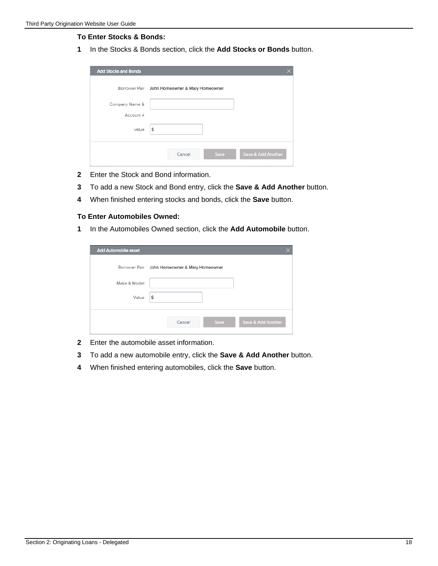#### **To Enter Stocks & Bonds:**

In the Stocks & Bonds section, click the **Add Stocks or Bonds** button.

| <b>Add Stocks and Bonds</b> |                                               |                    |
|-----------------------------|-----------------------------------------------|--------------------|
|                             | Borrower Pair John Homeowner & Mary Homeowner |                    |
| Company Name &              |                                               |                    |
| Account #                   |                                               |                    |
| value                       | \$                                            |                    |
|                             | Save<br>Cancel                                | Save & Add Another |

- Enter the Stock and Bond information.
- To add a new Stock and Bond entry, click the **Save & Add Another** button.
- When finished entering stocks and bonds, click the **Save** button.

#### **To Enter Automobiles Owned:**

In the Automobiles Owned section, click the **Add Automobile** button.

| Add Automobile asset |                                               |                    |
|----------------------|-----------------------------------------------|--------------------|
|                      | Borrower Pair John Homeowner & Mary Homeowner |                    |
| Make & Model         |                                               |                    |
| Value                | \$                                            |                    |
|                      |                                               |                    |
|                      | Save<br>Cancel                                | Save & Add Another |

- Enter the automobile asset information.
- To add a new automobile entry, click the **Save & Add Another** button.
- When finished entering automobiles, click the **Save** button.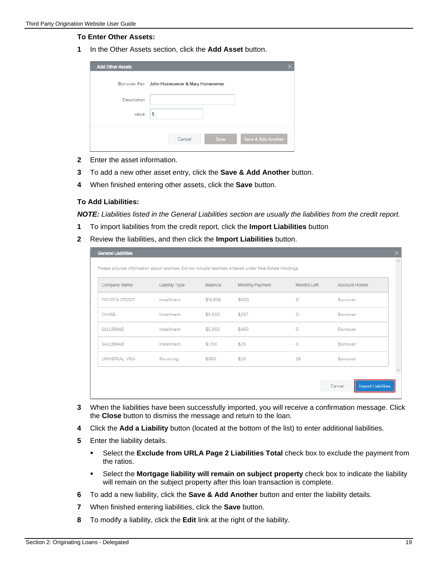#### **To Enter Other Assets:**

**1** In the Other Assets section, click the **Add Asset** button.

| <b>Add Other Assets</b> |                                               |                    |
|-------------------------|-----------------------------------------------|--------------------|
|                         | Borrower Pair John Homeowner & Mary Homeowner |                    |
| Description             |                                               |                    |
| value                   | \$                                            |                    |
|                         |                                               |                    |
|                         | Save<br>Cancel                                | Save & Add Another |

- **2** Enter the asset information.
- **3** To add a new other asset entry, click the **Save & Add Another** button.
- **4** When finished entering other assets, click the **Save** button.

#### **To Add Liabilities:**

*NOTE: Liabilities listed in the General Liabilities section are usually the liabilities from the credit report.*

- **1** To import liabilities from the credit report, click the **Import Liabilities** button
- **2** Review the liabilities, and then click the **Import Liabilities** button.

| Company Name         | Liability Type | Balance  | Monthly Payment | Months Left | Account Holder |
|----------------------|----------------|----------|-----------------|-------------|----------------|
| <b>TOYOTA CREDIT</b> | Installment    | \$15,838 | \$500           | $\circ$     | Borrower       |
| CHASE                | Installment    | \$5,000  | \$257           | $\circ$     | Borrower       |
| SALLIEMAE            | Installment    | \$5,000  | \$450           | $\Omega$    | Borrower       |
| SALLIEMAE            | Installment    | \$1,100  | \$25            | $\circ$     | Borrower       |
| UNIVERSAL VISA       | Revolving      | \$950    | \$25            | 38          | Borrower       |

- **3** When the liabilities have been successfully imported, you will receive a confirmation message. Click the **Close** button to dismiss the message and return to the loan.
- **4** Click the **Add a Liability** button (located at the bottom of the list) to enter additional liabilities.
- **5** Enter the liability details.
	- Select the **Exclude from URLA Page 2 Liabilities Total** check box to exclude the payment from the ratios.
	- Select the **Mortgage liability will remain on subject property** check box to indicate the liability will remain on the subject property after this loan transaction is complete.
- **6** To add a new liability, click the **Save & Add Another** button and enter the liability details.
- **7** When finished entering liabilities, click the **Save** button.
- **8** To modify a liability, click the **Edit** link at the right of the liability.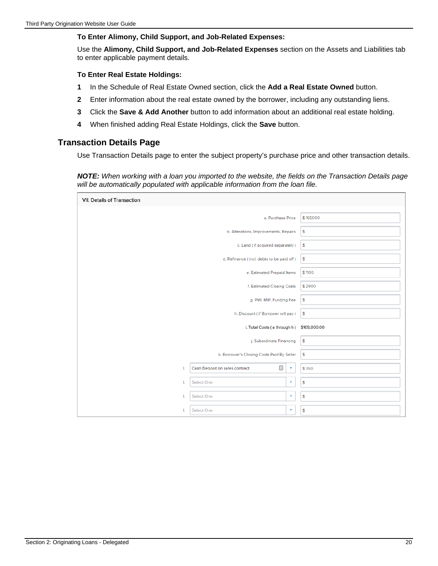#### **To Enter Alimony, Child Support, and Job-Related Expenses:**

Use the **Alimony, Child Support, and Job-Related Expenses** section on the Assets and Liabilities tab to enter applicable payment details.

#### **To Enter Real Estate Holdings:**

- **1** In the Schedule of Real Estate Owned section, click the **Add a Real Estate Owned** button.
- **2** Enter information about the real estate owned by the borrower, including any outstanding liens.
- **3** Click the **Save & Add Another** button to add information about an additional real estate holding.
- **4** When finished adding Real Estate Holdings, click the **Save** button.

#### **Transaction Details Page**

Use Transaction Details page to enter the subject property's purchase price and other transaction details.

*NOTE: When working with a loan you imported to the website, the fields on the Transaction Details page will be automatically populated with applicable information from the loan file.* 

| VII. Details of Transaction |                                                     |                    |              |
|-----------------------------|-----------------------------------------------------|--------------------|--------------|
|                             | a. Purchase Price                                   |                    | \$165000     |
|                             | b. Alterations, Improvements, Repairs               |                    | \$           |
|                             | c. Land (if acquired separately)                    |                    | \$           |
|                             | d. Refinance (incl. debts to be paid off)           |                    | \$           |
|                             | e. Estimated Prepaid Items                          |                    | \$1100       |
|                             | f. Estimated Closing Costs                          |                    | \$2900       |
|                             | g. PMI, MIP, Funding Fee                            |                    | \$           |
|                             | h. Discount (if Borrower will pay)                  |                    | \$           |
|                             | i. Total Costs (a through h)                        |                    | \$169,000.00 |
|                             | j. Subordinate Financing                            |                    | \$           |
|                             | k. Borrower's Closing Costs Paid By Seller          |                    | \$           |
| T.                          | $\frac{\hbar}{m}$<br>Cash Deposit on sales contract | $\bar{\mathbf{v}}$ | \$350        |
| L                           | Select One                                          | ٠                  | \$           |
| 1                           | Select One                                          | ۰                  | \$           |
| I.                          | Select One                                          | ٠                  | \$           |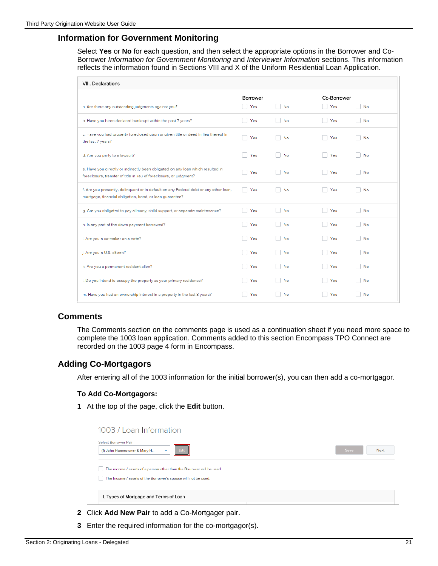#### **Information for Government Monitoring**

Select **Yes** or **No** for each question, and then select the appropriate options in the Borrower and Co-Borrower *Information for Government Monitoring* and *Interviewer Information* sections. This information reflects the information found in Sections VIII and X of the Uniform Residential Loan Application.

| <b>VIII.</b> Declarations                                                                                                                              |            |           |             |            |
|--------------------------------------------------------------------------------------------------------------------------------------------------------|------------|-----------|-------------|------------|
|                                                                                                                                                        | Borrower   |           | Co-Borrower |            |
| a. Are there any outstanding judgments against you?                                                                                                    | Yes        | No        | Yes         | No         |
| b. Have you been declared bankrupt within the past 7 years?                                                                                            | Yes        | No        | Yes         | No         |
| c. Have you had property foreclosed upon or given title or deed in lieu thereof in<br>the last 7 years?                                                | Yes        | No        | Yes         | No         |
| d. Are you party to a lawsuit?                                                                                                                         | Yes        | <b>No</b> | Yes         | No<br>a s  |
| e. Have you directly or indirectly been obligated on any loan which resulted in<br>foreclosure, transfer of title in lieu of foreclosure, or judgment? | Yes        | No        | Yes         | No         |
| f. Are you presently, delinquent or in default on any Federal debt or any other loan,<br>mortgage, financial obligation, bond, or loan guarantee?      | <b>Yes</b> | No        | Yes         | No<br>a l  |
| g. Are you obligated to pay alimony, child support, or separate maintenance?                                                                           | Yes        | No        | Yes         | No         |
| h. Is any part of the down payment borrowed?                                                                                                           | Yes        | No        | Yes         | No<br>- 1  |
| i. Are you a co-maker on a note?                                                                                                                       | Yes        | No        | Yes         | No<br>a sa |
| j. Are you a U.S. citizen?                                                                                                                             | Yes        | No        | Yes         | No<br>a a  |
| k. Are you a permanent resident alien?                                                                                                                 | Yes        | No        | Yes         | No         |
| I. Do you intend to occupy the property as your primary residence?                                                                                     | Yes        | No        | Yes         | No         |
| m. Have you had an ownership interest in a property in the last 3 years?                                                                               | Yes        | No        | Yes         | No         |

#### **Comments**

The Comments section on the comments page is used as a continuation sheet if you need more space to complete the 1003 loan application. Comments added to this section Encompass TPO Connect are recorded on the 1003 page 4 form in Encompass.

#### **Adding Co-Mortgagors**

After entering all of the 1003 information for the initial borrower(s), you can then add a co-mortgagor.

#### **To Add Co-Mortgagors:**

**1** At the top of the page, click the **Edit** button.

| 1003 / Loan Information<br>Select Borrower Pair<br>(1) John Homeowner & Mary H<br>Edit<br>٠ | Save<br><b>Next</b> |
|---------------------------------------------------------------------------------------------|---------------------|
| The income / assets of a person other than the Borrower will be used.                       |                     |
|                                                                                             |                     |

- **2** Click **Add New Pair** to add a Co-Mortgager pair.
- **3** Enter the required information for the co-mortgagor(s).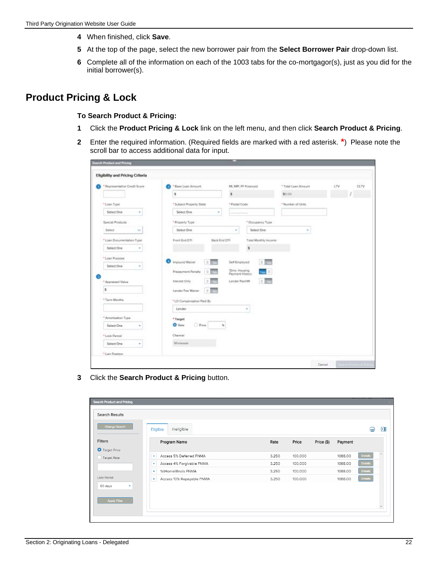- **4** When finished, click **Save**.
- **5** At the top of the page, select the new borrower pair from the **Select Borrower Pair** drop-down list.
- **6** Complete all of the information on each of the 1003 tabs for the co-mortgagor(s), just as you did for the initial borrower(s).

### **Product Pricing & Lock**

#### **To Search Product & Pricing:**

- **1** Click the **Product Pricing & Lock** link on the left menu, and then click **Search Product & Pricing**.
- **2** Enter the required information. (Required fields are marked with a red asterisk. **\***) Please note the scroll bar to access additional data for input.

| * Representative Credit Score | * Ease Loan Amount                     |                                         | Mt, MP, FF Finenced      | * Total Loan Amount | 1TV | CLTV |
|-------------------------------|----------------------------------------|-----------------------------------------|--------------------------|---------------------|-----|------|
|                               | s                                      | s                                       |                          | \$0.00              |     |      |
| * Loan Type                   | * Subject Property State               | * Postal Code                           |                          | * Number of Units   |     |      |
| Select One                    | Select One                             |                                         |                          |                     |     |      |
|                               |                                        |                                         |                          |                     |     |      |
| Special Products              | * Property Type                        |                                         | * Docupency Type:        |                     |     |      |
| Select<br>$\sim$              | Select Ove-                            | $\alpha$                                | Select One               |                     |     |      |
| * Loan Documentation Type     | Front End O'TI                         | Back End DTI                            | Total Monthly Income:    |                     |     |      |
| Select One                    |                                        |                                         | $\mathsf{s}$             |                     |     |      |
| *Loan Purpose                 |                                        |                                         |                          |                     |     |      |
| Select One<br>$\alpha$        | o<br><b>Impound Watser</b><br>$\equiv$ | Self Employed                           | $\equiv$ $\frac{1}{100}$ |                     |     |      |
|                               | Ŀĸ<br>Prepayment Pertaity              | <b>Dino, Hausing</b><br>Payment History |                          |                     |     |      |
| * Appreciated Value           | $\equiv$<br>Interest Only              | Lender Paid MI                          | $=$ $\Box$               |                     |     |      |
| s                             | I it<br>Lender Fee Wenn                |                                         |                          |                     |     |      |
| * Tarm Months                 | * LO Compensation Paid By              |                                         |                          |                     |     |      |
|                               | Lender                                 |                                         |                          |                     |     |      |
| * Americanism Type            | * Twipet                               |                                         |                          |                     |     |      |
| Salact One<br>٠               | <b>D</b> Price<br>O Ratur              | s                                       |                          |                     |     |      |
| " Lock Period                 | Channel                                |                                         |                          |                     |     |      |
| <b>Select One</b><br>٠        | <b>Wholeswig</b>                       |                                         |                          |                     |     |      |
| * Lien Postton                |                                        |                                         |                          |                     |     |      |

**3** Click the **Search Product & Pricing** button.

| <b>Search Results</b><br><b>Change Search</b><br>Ineligible<br>Eligible<br>Filters<br>Program Name<br>Price (\$)<br>Rate<br>Price<br>Payment<br><b>O</b> Target Price<br>$\ddot{}$<br>1088.00<br>Access 5% Deferred FNMA<br>3.250<br>100.000<br>◯ Target Rate<br>1088.00<br>$\ddot{}$<br>Access 4% Forgivable FNMA<br>3.250<br>100.000<br>1stHomelllinois FNMA<br>$\ddot{}$<br>3.250<br>100,000<br>1088.00<br>Lock Period<br>$+$<br>Access 10% Repayable FNMA<br>3.250<br>100.000<br>1088.00<br>60 days<br>٠<br>Apply Filter |              |  |  | <b>Search Product and Pricing</b> |
|------------------------------------------------------------------------------------------------------------------------------------------------------------------------------------------------------------------------------------------------------------------------------------------------------------------------------------------------------------------------------------------------------------------------------------------------------------------------------------------------------------------------------|--------------|--|--|-----------------------------------|
|                                                                                                                                                                                                                                                                                                                                                                                                                                                                                                                              |              |  |  |                                   |
|                                                                                                                                                                                                                                                                                                                                                                                                                                                                                                                              | e<br>嗰       |  |  |                                   |
|                                                                                                                                                                                                                                                                                                                                                                                                                                                                                                                              |              |  |  |                                   |
|                                                                                                                                                                                                                                                                                                                                                                                                                                                                                                                              | Details      |  |  |                                   |
|                                                                                                                                                                                                                                                                                                                                                                                                                                                                                                                              | Details      |  |  |                                   |
|                                                                                                                                                                                                                                                                                                                                                                                                                                                                                                                              | Details      |  |  |                                   |
|                                                                                                                                                                                                                                                                                                                                                                                                                                                                                                                              | Details      |  |  |                                   |
|                                                                                                                                                                                                                                                                                                                                                                                                                                                                                                                              |              |  |  |                                   |
|                                                                                                                                                                                                                                                                                                                                                                                                                                                                                                                              |              |  |  |                                   |
|                                                                                                                                                                                                                                                                                                                                                                                                                                                                                                                              | $\mathbf{v}$ |  |  |                                   |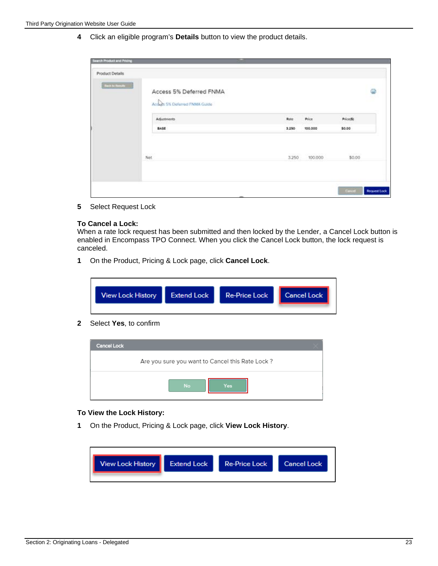**4** Click an eligible program's **Details** button to view the product details.

| Product Details         |                                                           |       |         |           |
|-------------------------|-----------------------------------------------------------|-------|---------|-----------|
| <b>Back to Renalize</b> | Access 5% Deferred FNMA<br>Actuals 5% Deferred FNMA Guide |       |         | Ē         |
|                         | Adjustments                                               | Rote  | Price   | Price(\$) |
|                         | BASE                                                      | 3.250 | 100.000 | \$0.00    |
|                         | Net                                                       | 3.250 | 100.000 | \$0.00    |
|                         |                                                           |       |         |           |

**5** Select Request Lock

#### **To Cancel a Lock:**

When a rate lock request has been submitted and then locked by the Lender, a Cancel Lock button is enabled in Encompass TPO Connect. When you click the Cancel Lock button, the lock request is canceled.

**1** On the Product, Pricing & Lock page, click **Cancel Lock**.

| <b>View Lock History</b> | Extend Lock | Re-Price Lock | <b>Cancel Lock</b> |
|--------------------------|-------------|---------------|--------------------|
|                          |             |               |                    |

**2** Select **Yes**, to confirm



#### **To View the Lock History:**

**1** On the Product, Pricing & Lock page, click **View Lock History**.

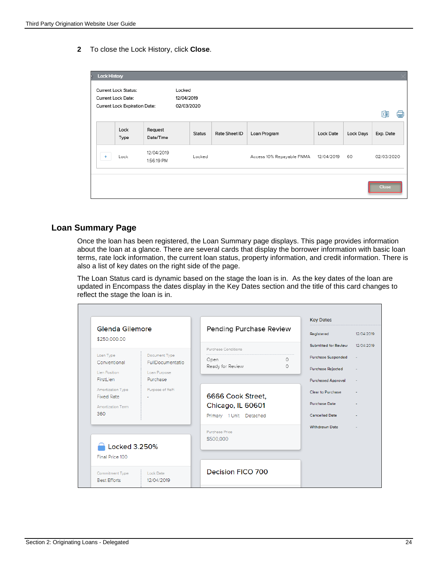**2** To close the Lock History, click **Close**.



#### **Loan Summary Page**

Once the loan has been registered, the Loan Summary page displays. This page provides information about the loan at a glance. There are several cards that display the borrower information with basic loan terms, rate lock information, the current loan status, property information, and credit information. There is also a list of key dates on the right side of the page.

The Loan Status card is dynamic based on the stage the loan is in. As the key dates of the loan are updated in Encompass the dates display in the Key Dates section and the title of this card changes to reflect the stage the loan is in.

|                                        |                                          |                         |          | <b>Key Dates</b>          |            |
|----------------------------------------|------------------------------------------|-------------------------|----------|---------------------------|------------|
| Glenda Gilemore<br>\$250,000.00        |                                          | Pending Purchase Review |          | Registered                | 12/04/2019 |
|                                        |                                          | Purchase Conditions     |          | Submitted for Review      | 12/04/2019 |
| Loan Type<br>Conventional              | Document Type<br><b>FullDocumentatio</b> | Open                    | $\Omega$ | <b>Purchase Suspended</b> | $\sim$     |
|                                        |                                          | Ready for Review        | $\Omega$ | Purchase Rejected         |            |
| Lien Position<br>FirstLien             | Loan Purpose<br>Purchase                 |                         |          | <b>Purchased Approval</b> |            |
| Amortization Type                      | Purpose of ReFi                          |                         |          | Clear to Purchase         |            |
| <b>Fixed Rate</b>                      |                                          | 6666 Cook Street,       |          |                           |            |
| Amortization Term                      |                                          | Chicago, IL 60601       |          | <b>Purchase Date</b>      |            |
| 360                                    |                                          | Primary 1 Unit Detached |          | <b>Cancelled Date</b>     |            |
|                                        |                                          | Purchase Price          |          | <b>Withdrawn Date</b>     |            |
|                                        |                                          | \$500,000               |          |                           |            |
| Locked 3.250%                          |                                          |                         |          |                           |            |
| Final Price 100                        |                                          |                         |          |                           |            |
|                                        |                                          | Decision FICO 700       |          |                           |            |
| Commitment Type<br><b>Best Efforts</b> | Lock Date<br>12/04/2019                  |                         |          |                           |            |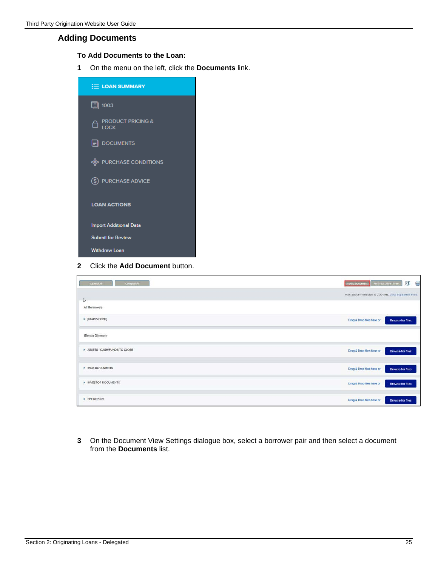#### **Adding Documents**

#### **To Add Documents to the Loan:**

**1** On the menu on the left, click the **Documents** link.



**2** Click the **Add Document** button.

| Collapse All<br>Expand All   | €<br>园<br>Add Document<br>Print Fax Cover Sheet      |
|------------------------------|------------------------------------------------------|
| J,                           | Max attachment size is 200 MB. View Supported Files. |
| All Borrowers                |                                                      |
| I [UNASSIGNED]               | Drag & Drop files here or<br>Browse for files        |
| Glenda Gilemore              |                                                      |
| ASSETS - CASH/FUNDS TO CLOSE | Drag & Drop files here or<br><b>Drowse for files</b> |
| <b>E IHDA DOCUMENTS</b>      | Drag & Drop files here or<br>Browse for files.       |
| N INVESTOR DOCUMENTS         | Drag & Drop files here or<br><b>Browse for files</b> |
| PPE REPORT                   | Drag & Drop files here or<br><b>Browse for files</b> |

**3** On the Document View Settings dialogue box, select a borrower pair and then select a document from the **Documents** list.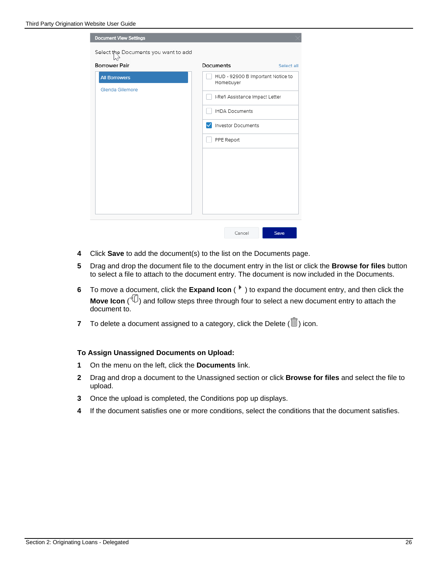| <b>Document View Settings</b>        |                                                |
|--------------------------------------|------------------------------------------------|
| Select the Documents you want to add |                                                |
| <b>Borrower Pair</b>                 | Documents<br>Select all                        |
| <b>All Borrowers</b>                 | HUD - 92900 B Important Notice to<br>Homebuyer |
| Glenda Gilemore                      | I-Refi Assistance Impact Letter                |
|                                      | <b>IHDA Documents</b>                          |
|                                      | <b>Investor Documents</b>                      |
|                                      | PPE Report                                     |
|                                      |                                                |
|                                      |                                                |
|                                      |                                                |
|                                      |                                                |
|                                      |                                                |

- **4** Click **Save** to add the document(s) to the list on the Documents page.
- **5** Drag and drop the document file to the document entry in the list or click the **Browse for files** button to select a file to attach to the document entry. The document is now included in the Documents.
- **6** To move a document, click the **Expand Icon** (<sup> $*$ </sup>) to expand the document entry, and then click the **Move Icon** ( $\overline{\mathbb{D}}$ ) and follow steps three through four to select a new document entry to attach the document to.
- **7** To delete a document assigned to a category, click the Delete  $(\overline{m})$  icon.

#### **To Assign Unassigned Documents on Upload:**

- **1** On the menu on the left, click the **Documents** link.
- **2** Drag and drop a document to the Unassigned section or click **Browse for files** and select the file to upload.
- **3** Once the upload is completed, the Conditions pop up displays.
- **4** If the document satisfies one or more conditions, select the conditions that the document satisfies.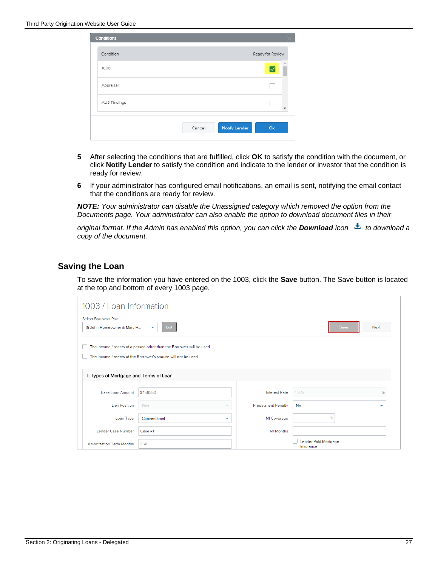| Conditions   |                                      |              |
|--------------|--------------------------------------|--------------|
| Condition    | Ready for Review                     |              |
| 1008         |                                      |              |
| Appraisal    |                                      |              |
| AUS Findings |                                      | $\mathbf{v}$ |
|              | <b>Notify Lender</b><br>Ok<br>Cancel |              |

- **5** After selecting the conditions that are fulfilled, click **OK** to satisfy the condition with the document, or click **Notify Lender** to satisfy the condition and indicate to the lender or investor that the condition is ready for review.
- **6** If your administrator has configured email notifications, an email is sent, notifying the email contact that the conditions are ready for review.

*NOTE: Your administrator can disable the Unassigned category which removed the option from the Documents page. Your administrator can also enable the option to download document files in their* 

*original format. If the Admin has enabled this option, you can click the Download icon* $\triangleq$  **to download a** *copy of the document.*

#### **Saving the Loan**

To save the information you have entered on the 1003, click the **Save** button. The Save button is located at the top and bottom of every 1003 page.

| 1003 / Loan Information                             |                                                                                                                                         |                           |                                   |      |      |  |
|-----------------------------------------------------|-----------------------------------------------------------------------------------------------------------------------------------------|---------------------------|-----------------------------------|------|------|--|
| Select Borrower Pair<br>(1) John Homeowner & Mary H | Edit<br>۰                                                                                                                               |                           |                                   | Save | Next |  |
|                                                     | The income / assets of a person other than the Borrower will be used.<br>The income / assets of the Borrower's spouse will not be used. |                           |                                   |      |      |  |
| I. Types of Mortgage and Terms of Loan              |                                                                                                                                         |                           |                                   |      |      |  |
| <b>Base Loan Amount</b>                             | \$156350                                                                                                                                | <b>Interest Rate</b>      | 4.875                             |      | %    |  |
| <b>Lien Position</b>                                | First                                                                                                                                   | <b>Prepayment Penalty</b> | No                                |      | ۰    |  |
| Loan Type                                           | Conventional<br>٠                                                                                                                       | MI Coverage               |                                   | %    |      |  |
| Lender Case Number                                  | Case 41                                                                                                                                 | <b>MI</b> Months          |                                   |      |      |  |
| <b>Amortization Term Months</b>                     | 360                                                                                                                                     |                           | Lender Paid Mortgage<br>Insurance |      |      |  |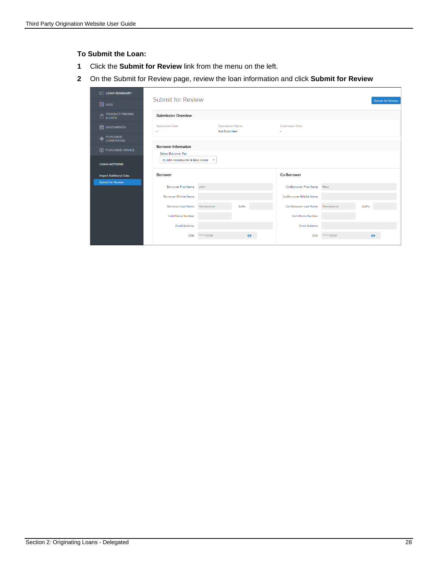#### **To Submit the Loan:**

- **1** Click the **Submit for Review** link from the menu on the left.
- **2** On the Submit for Review page, review the loan information and click **Submit for Review**

| <b>ED LOAN SUMMARY</b>        |                                |                          |                          |                                 |            |                          |
|-------------------------------|--------------------------------|--------------------------|--------------------------|---------------------------------|------------|--------------------------|
| 圓 1003                        | Submit for Review              |                          |                          |                                 |            | <b>Submit for Review</b> |
| PRODUCT PRICING               | <b>Submission Overview</b>     |                          |                          |                                 |            |                          |
| <b>同</b> DOCUMENTS            | <b>Application Date</b>        | Not Submitted            | <b>Submission Status</b> | <b>Submission Date</b><br>×.    |            |                          |
| <b>EVECHASE</b><br>CONDITIONS |                                |                          |                          |                                 |            |                          |
| (\$) PURCHASE ADVICE          | <b>Borrower Information</b>    |                          |                          |                                 |            |                          |
|                               | Select Borrower Pair           |                          |                          |                                 |            |                          |
| <b>LOAN ACTIONS</b>           | (1) John Homeowner & Mary Home | $\overline{\phantom{a}}$ |                          |                                 |            |                          |
| <b>Import Additional Data</b> | Borrower                       |                          |                          | Co-Borrower                     |            |                          |
| <b>Submit for Review</b>      | <b>Borrower First Name</b>     | John                     |                          | Co-Borrower First Name          | Mary       |                          |
|                               | Borrower Middle Name           |                          |                          | Co-Borrower Middle Name         |            |                          |
|                               | Borrower Last Name             | Homeowner                | Suffix                   | Co-Borrower Last Name Homeowner |            | Suffix                   |
|                               | Cell Phone Number              |                          |                          | Cell Phone Number               |            |                          |
|                               | <b>Email Address</b>           |                          |                          | <b>Email Address</b>            |            |                          |
|                               | SSN                            | *****-5000               | Ø                        | <b>SSN</b>                      | *****-2000 | Ø                        |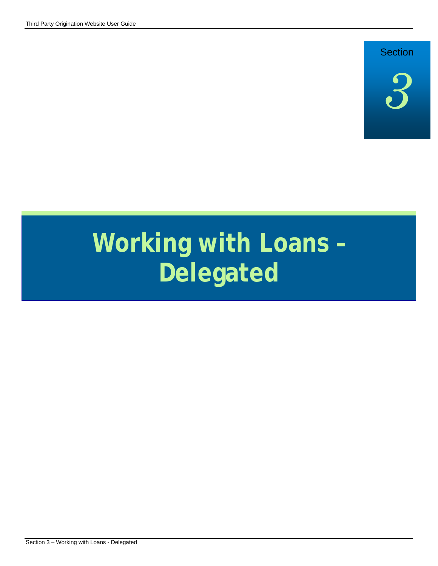# **Section**



# **Working with Loans – Delegated**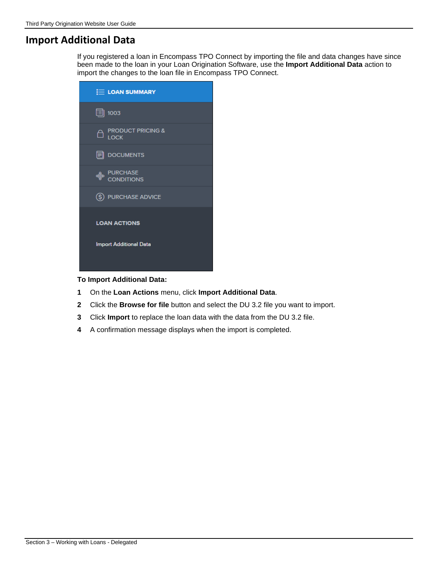# **Import Additional Data**

If you registered a loan in Encompass TPO Connect by importing the file and data changes have since been made to the loan in your Loan Origination Software, use the **Import Additional Data** action to import the changes to the loan file in Encompass TPO Connect.

| <b>E LOAN SUMMARY</b>                            |
|--------------------------------------------------|
| 圓 1003                                           |
| <b>EN PRODUCT PRICING &amp;</b>                  |
| <b>同 DOCUMENTS</b>                               |
| <sup>A</sup> PURCHASE<br><sup>P</sup> CONDITIONS |
| (\$) PURCHASE ADVICE                             |
| <b>LOAN ACTIONS</b>                              |
| <b>Import Additional Data</b>                    |

#### **To Import Additional Data:**

- **1** On the **Loan Actions** menu, click **Import Additional Data**.
- **2** Click the **Browse for file** button and select the DU 3.2 file you want to import.
- **3** Click **Import** to replace the loan data with the data from the DU 3.2 file.
- **4** A confirmation message displays when the import is completed.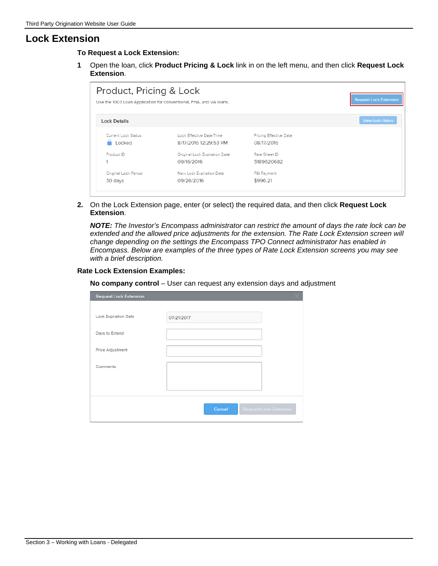### **Lock Extension**

**To Request a Lock Extension:**

**1** Open the loan, click **Product Pricing & Lock** link in on the left menu, and then click **Request Lock Extension**.

| Product, Pricing & Lock |                                                                    |                        | <b>Request Lock Extension</b> |
|-------------------------|--------------------------------------------------------------------|------------------------|-------------------------------|
|                         | Use the 1003 Loan Application for conventional, FHA, and VA loans. |                        |                               |
| <b>Lock Details</b>     |                                                                    |                        | <b>View Lock History</b>      |
| Current Lock Status     | Lock Effective Date/Time                                           | Pricing Effective Date |                               |
| Locked                  | 8/17/2016 12:29:53 PM                                              | 08/17/2016             |                               |
| Product ID              | Original Lock Expiration Date                                      | Rate Sheet ID          |                               |
|                         | 09/16/2016                                                         | 5189620682             |                               |
| Original Lock Period    | New Lock Expiration Date                                           | P&I Payment            |                               |
| 30 days                 | 09/26/2016                                                         | \$996.21               |                               |

**2.** On the Lock Extension page, enter (or select) the required data, and then click **Request Lock Extension**.

*NOTE: The Investor's Encompass administrator can restrict the amount of days the rate lock can be extended and the allowed price adjustments for the extension. The Rate Lock Extension screen will change depending on the settings the Encompass TPO Connect administrator has enabled in Encompass. Below are examples of the three types of Rate Lock Extension screens you may see with a brief description.*

#### **Rate Lock Extension Examples:**

**No company control** – User can request any extension days and adjustment

| <b>Request Lock Extension</b> |            |                               |
|-------------------------------|------------|-------------------------------|
|                               |            |                               |
| <b>Lock Expiration Date</b>   | 07/21/2017 |                               |
| Days to Extend                |            |                               |
| Price Adjustment              |            |                               |
| Comments                      |            |                               |
|                               |            |                               |
|                               |            |                               |
|                               | Cancel     | <b>Request Lock Extension</b> |
|                               |            |                               |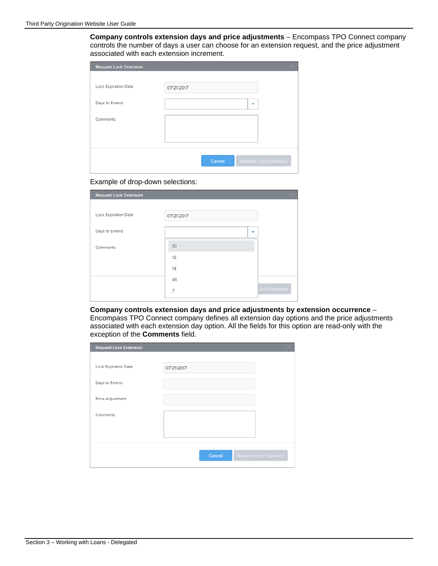**Company controls extension days and price adjustments** – Encompass TPO Connect company controls the number of days a user can choose for an extension request, and the price adjustment associated with each extension increment.

| <b>Request Lock Extension</b> |                                         |  |
|-------------------------------|-----------------------------------------|--|
|                               |                                         |  |
| <b>Lock Expiration Date</b>   | 07/21/2017                              |  |
|                               |                                         |  |
| Days to Extend                | ٠                                       |  |
|                               |                                         |  |
| Comments                      |                                         |  |
|                               |                                         |  |
|                               |                                         |  |
|                               |                                         |  |
|                               | Cancel<br><b>Request Lock Extension</b> |  |
|                               |                                         |  |

#### Example of drop-down selections:

| <b>Request Lock Extension</b> |            |                |
|-------------------------------|------------|----------------|
|                               |            |                |
| <b>Lock Expiration Date</b>   | 07/21/2017 |                |
| Days to Extend                | ۰          |                |
| Comments                      | 10         |                |
|                               | 12         |                |
|                               | 14         |                |
|                               | 45         |                |
|                               | 7          | Lock Extension |

**Company controls extension days and price adjustments by extension occurrence** – Encompass TPO Connect company defines all extension day options and the price adjustments associated with each extension day option. All the fields for this option are read-only with the exception of the **Comments** field.

| <b>Request Lock Extension</b> |                                         |  |
|-------------------------------|-----------------------------------------|--|
|                               |                                         |  |
| <b>Lock Expiration Date</b>   | 07/21/2017                              |  |
| Days to Extend                |                                         |  |
| Price Adjustment              |                                         |  |
| Comments                      |                                         |  |
|                               |                                         |  |
|                               |                                         |  |
|                               | <b>Request Lock Extension</b><br>Cancel |  |
|                               |                                         |  |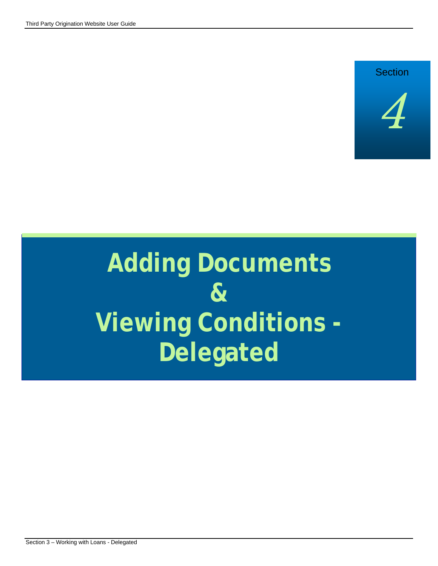

# **Adding Documents & Viewing Conditions - Delegated**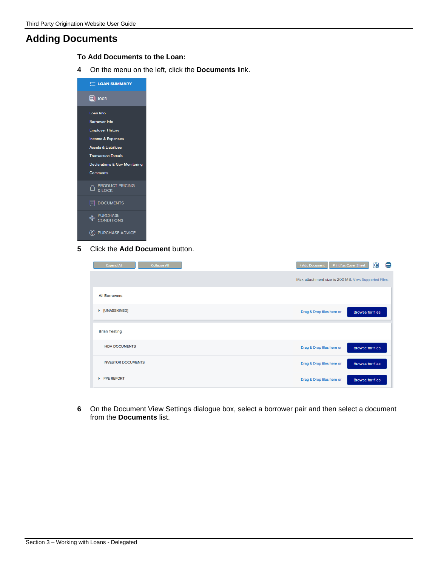# **Adding Documents**

- **To Add Documents to the Loan:**
- **4** On the menu on the left, click the **Documents** link.

| <b>E LOAN SUMMARY</b>                    |  |
|------------------------------------------|--|
| 圁 1003                                   |  |
| Loan Info                                |  |
| <b>Borrower Info</b>                     |  |
| <b>Employer History</b>                  |  |
| <b>Income &amp; Expenses</b>             |  |
| <b>Assets &amp; Liabilities</b>          |  |
| <b>Transaction Details</b>               |  |
| <b>Declarations &amp; Gov Monitoring</b> |  |
| Comments                                 |  |
| <b>EN PRODUCT PRICING</b>                |  |
| <b>同</b> DOCUMENTS                       |  |
| <b>EURCHASE</b><br>CONDITIONS            |  |
| PURCHASE ADVICE                          |  |

**5** Click the **Add Document** button.

| Collapse All<br><b>Expand All</b> | + Add Document<br>Print Fax Cover Sheet              | ⊠圓<br>e                 |
|-----------------------------------|------------------------------------------------------|-------------------------|
|                                   | Max attachment size is 200 MB. View Supported Files. |                         |
| <b>All Borrowers</b>              |                                                      |                         |
| ▶ [UNASSIGNED]                    | Drag & Drop files here or                            | <b>Browse for files</b> |
| <b>Brian Testing</b>              |                                                      |                         |
| <b>IHDA DOCUMENTS</b>             | Drag & Drop files here or                            | <b>Browse for files</b> |
| <b>INVESTOR DOCUMENTS</b>         | Drag & Drop files here or                            | <b>Browse for files</b> |
| <b>PPE REPORT</b><br>ь            | Drag & Drop files here or                            | <b>Browse for files</b> |

**6** On the Document View Settings dialogue box, select a borrower pair and then select a document from the **Documents** list.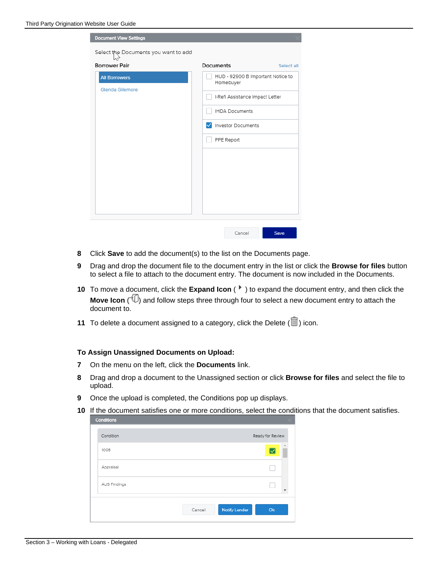| <b>Document View Settings</b><br>Select the Documents you want to add |                                                |
|-----------------------------------------------------------------------|------------------------------------------------|
| <b>Borrower Pair</b>                                                  | Documents<br>Select all                        |
| <b>All Borrowers</b><br>Glenda Gilemore                               | HUD - 92900 B Important Notice to<br>Homebuyer |
|                                                                       | I-Refi Assistance Impact Letter                |
|                                                                       | <b>IHDA Documents</b>                          |
|                                                                       | Investor Documents<br>✓                        |
|                                                                       | PPE Report                                     |
|                                                                       |                                                |
|                                                                       |                                                |
|                                                                       |                                                |
|                                                                       |                                                |
|                                                                       | Save<br>Cancel                                 |

- **8** Click **Save** to add the document(s) to the list on the Documents page.
- **9** Drag and drop the document file to the document entry in the list or click the **Browse for files** button to select a file to attach to the document entry. The document is now included in the Documents.
- **10** To move a document, click the **Expand Icon** ( $\bullet$ ) to expand the document entry, and then click the **Move Icon** ( $\overline{\psi}$ ) and follow steps three through four to select a new document entry to attach the document to.
- **11** To delete a document assigned to a category, click the Delete  $(\overline{11})$  icon.

#### **To Assign Unassigned Documents on Upload:**

- **7** On the menu on the left, click the **Documents** link.
- **8** Drag and drop a document to the Unassigned section or click **Browse for files** and select the file to upload.
- **9** Once the upload is completed, the Conditions pop up displays.
- **10** If the document satisfies one or more conditions, select the conditions that the document satisfies.

| <b>Conditions</b> |        |                      |                  |  |
|-------------------|--------|----------------------|------------------|--|
| Condition         |        |                      | Ready for Review |  |
| 1008              |        |                      | ∸                |  |
| Appraisal         |        |                      |                  |  |
| AUS Findings      |        |                      | v                |  |
|                   | Cancel | <b>Notify Lender</b> | Ok               |  |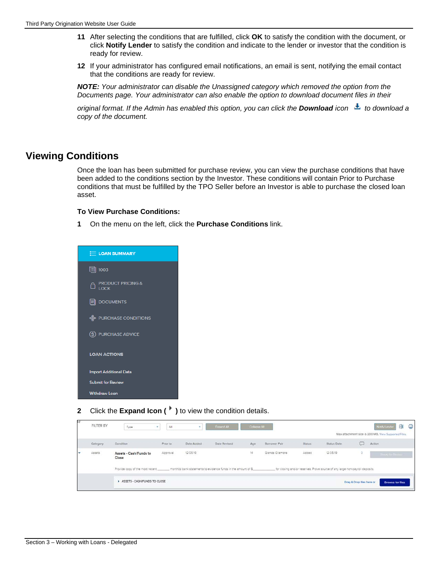- **11** After selecting the conditions that are fulfilled, click **OK** to satisfy the condition with the document, or click **Notify Lender** to satisfy the condition and indicate to the lender or investor that the condition is ready for review.
- **12** If your administrator has configured email notifications, an email is sent, notifying the email contact that the conditions are ready for review.

*NOTE: Your administrator can disable the Unassigned category which removed the option from the Documents page. Your administrator can also enable the option to download document files in their* 

*original format. If the Admin has enabled this option, you can click the Download <i>icon* **t** to download a *copy of the document.*

# **Viewing Conditions**

Once the loan has been submitted for purchase review, you can view the purchase conditions that have been added to the conditions section by the Investor. These conditions will contain Prior to Purchase conditions that must be fulfilled by the TPO Seller before an Investor is able to purchase the closed loan asset.

#### **To View Purchase Conditions:**

**1** On the menu on the left, click the **Purchase Conditions** link.



**2** Click the **Expand Icon ( )** to view the condition details.

| lvè | FILTER BY | Type                            | All<br>٠ |                            | Expand All                                                      | <b>Collapse All</b> |                 |               |                                                                              |                           | G<br>难<br>Notify Lender<br>Max attachment size is 200 MB. View Supported Files. |
|-----|-----------|---------------------------------|----------|----------------------------|-----------------------------------------------------------------|---------------------|-----------------|---------------|------------------------------------------------------------------------------|---------------------------|---------------------------------------------------------------------------------|
|     | Category  | Condition                       | Prior to | Date Added                 | Date Revised                                                    | Age                 | Borrower Pair   | <b>Status</b> | Status Date                                                                  | u                         | Action                                                                          |
|     | Assets    | Assets - Cash/Funds to<br>Close | Approval | 12/05/19<br><b>CREARED</b> |                                                                 | $14^{2}$            | Gienda Gilemore | Added<br>.    | 12/05/19<br>------                                                           | $\circ$                   | <b>The AT A Stationary</b>                                                      |
|     |           | Provide copy of the most recent |          |                            | month(s) bank statements to evidence funds in the amount of \$. |                     |                 |               | for closing and/or reserves. Prove source of any large non-payroll deposits. |                           |                                                                                 |
|     |           | ASSETS - CASH/FUNDS TO CLOSE    |          |                            |                                                                 |                     |                 |               |                                                                              | Drag & Drop files here or | <b>Browse for files</b>                                                         |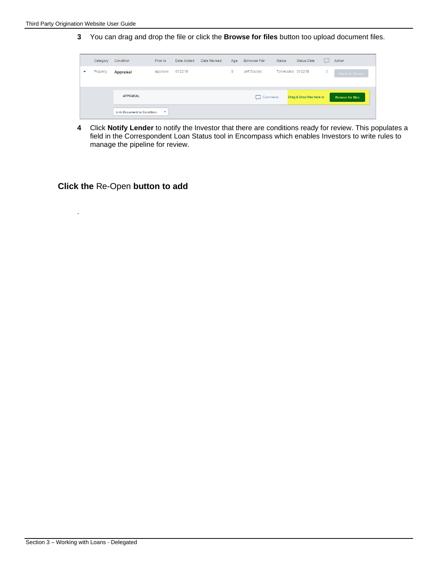.

**3** You can drag and drop the file or click the **Browse for files** button too upload document files.

|   | Category | Condition                  | Prior to | Date Added | Date Revised | Age | <b>Borrower Pair</b> | <b>Status</b>     | Status Date               |         | Action                  |
|---|----------|----------------------------|----------|------------|--------------|-----|----------------------|-------------------|---------------------------|---------|-------------------------|
| ▼ | Property | <b>Appraisal</b>           | Approval | 01/22/18   |              | 0   | Jeff Doctest         | TomAdded 01/22/18 |                           | $\circ$ | Ready for Review        |
|   |          |                            |          |            |              |     |                      |                   |                           |         |                         |
|   |          | <b>APPRAISAL</b>           |          |            |              |     | Comments<br>لما      |                   | Drag & Drop files here or |         | <b>Browse for files</b> |
|   |          | Link Document to Condition |          |            |              |     |                      |                   |                           |         |                         |

**4** Click **Notify Lender** to notify the Investor that there are conditions ready for review. This populates a field in the Correspondent Loan Status tool in Encompass which enables Investors to write rules to manage the pipeline for review.

#### **Click the** Re-Open **button to add**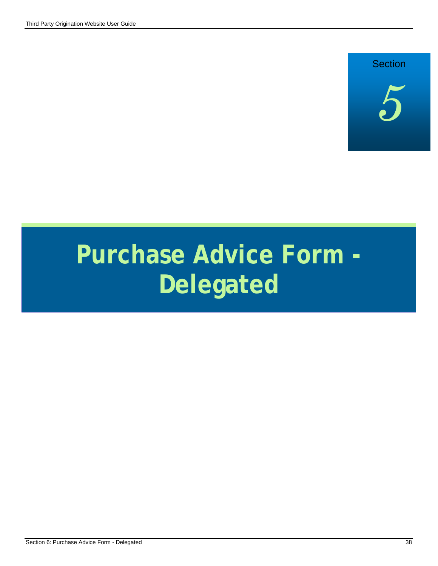

# **Purchase Advice Form - Delegated**